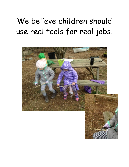#### We believe children should use real tools for real jobs.

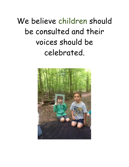We believe children should be consulted and their voices should be celebrated.

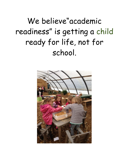We believe"academic readiness" is getting a child ready for life, not for school.

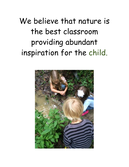We believe that nature is the best classroom providing abundant inspiration for the child.

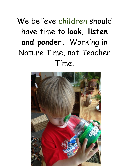# We believe children should have time to **look, listen and ponder.** Working in Nature Time, not Teacher Time.

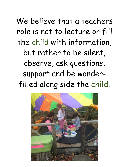We believe that a teachers role is not to lecture or fill the child with information, but rather to be silent, observe, ask questions, support and be wonderfilled along side the child.

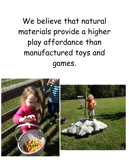We believe that natural materials provide a higher play affordance than manufactured toys and games.

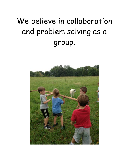# We believe in collaboration and problem solving as a group.

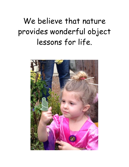### We believe that nature provides wonderful object lessons for life.

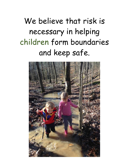# We believe that risk is necessary in helping children form boundaries and keep safe.

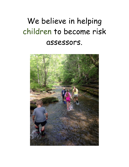#### We believe in helping children to become risk assessors.

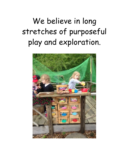## We believe in long stretches of purposeful play and exploration.

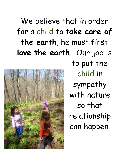# We believe that in order for a child to **take care of the earth**, he must first **love the earth**. Our job is



to put the child in sympathy with nature so that relationship can happen.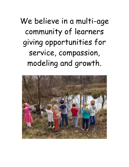We believe in a multi-age community of learners giving opportunities for service, compassion, modeling and growth.

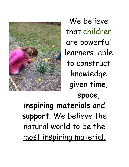

We believe that children are powerful learners, able to construct knowledge given **time**, **space**,

**inspiring materials** and **support**. We believe the natural world to be the most inspiring material.